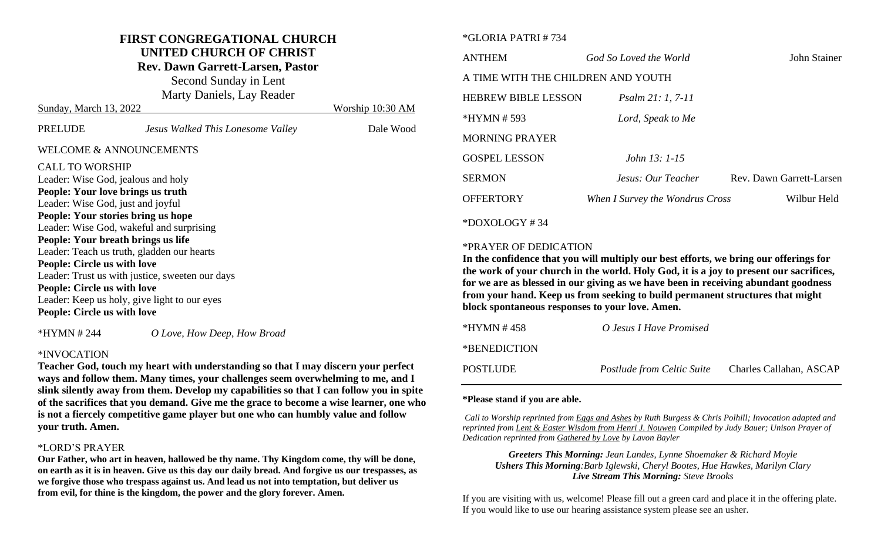#### **FIRST CONGREGATIONAL CHURCH UNITED CHURCH OF CHRIST**

**Rev. Dawn Garrett-Larsen, Pastor**

Second Sunday in Lent Marty Daniels, Lay Reader

| Sunday, March 13, 2022                          |                                   | Worship 10:30 AM |  |  |
|-------------------------------------------------|-----------------------------------|------------------|--|--|
| PRELUDE                                         | Jesus Walked This Lonesome Valley | Dale Wood        |  |  |
| <b>WELCOME &amp; ANNOUNCEMENTS</b>              |                                   |                  |  |  |
| <b>CALL TO WORSHIP</b>                          |                                   |                  |  |  |
| Leader: Wise God, jealous and holy              |                                   |                  |  |  |
| People: Your love brings us truth               |                                   |                  |  |  |
| Leader: Wise God, just and joyful               |                                   |                  |  |  |
| People: Your stories bring us hope              |                                   |                  |  |  |
| Leader: Wise God, wakeful and surprising        |                                   |                  |  |  |
| People: Your breath brings us life              |                                   |                  |  |  |
| Leader: Teach us truth, gladden our hearts      |                                   |                  |  |  |
| <b>People: Circle us with love</b>              |                                   |                  |  |  |
| Leader: Trust us with justice, sweeten our days |                                   |                  |  |  |
| <b>People: Circle us with love</b>              |                                   |                  |  |  |
| Leader: Keep us holy, give light to our eyes    |                                   |                  |  |  |
| <b>People: Circle us with love</b>              |                                   |                  |  |  |
|                                                 |                                   |                  |  |  |

\*HYMN # 244 *O Love, How Deep, How Broad*

#### \*INVOCATION

**Teacher God, touch my heart with understanding so that I may discern your perfect ways and follow them. Many times, your challenges seem overwhelming to me, and I slink silently away from them. Develop my capabilities so that I can follow you in spite of the sacrifices that you demand. Give me the grace to become a wise learner, one who is not a fiercely competitive game player but one who can humbly value and follow your truth. Amen.** 

## \*LORD'S PRAYER

**Our Father, who art in heaven, hallowed be thy name. Thy Kingdom come, thy will be done, on earth as it is in heaven. Give us this day our daily bread. And forgive us our trespasses, as we forgive those who trespass against us. And lead us not into temptation, but deliver us from evil, for thine is the kingdom, the power and the glory forever. Amen.**

#### \*GLORIA PATRI # 734

| <b>ANTHEM</b>                      | God So Loved the World          | John Stainer             |  |  |  |
|------------------------------------|---------------------------------|--------------------------|--|--|--|
| A TIME WITH THE CHILDREN AND YOUTH |                                 |                          |  |  |  |
| <b>HEBREW BIBLE LESSON</b>         | <i>Psalm 21: 1, 7-11</i>        |                          |  |  |  |
| $*HYMN # 593$                      | Lord, Speak to Me               |                          |  |  |  |
| <b>MORNING PRAYER</b>              |                                 |                          |  |  |  |
| <b>GOSPEL LESSON</b>               | John 13: 1-15                   |                          |  |  |  |
| <b>SERMON</b>                      | Jesus: Our Teacher              | Rev. Dawn Garrett-Larsen |  |  |  |
| <b>OFFERTORY</b>                   | When I Survey the Wondrus Cross | Wilbur Held              |  |  |  |
| $*$ DOXOLOGY #34                   |                                 |                          |  |  |  |

#### \*PRAYER OF DEDICATION

**In the confidence that you will multiply our best efforts, we bring our offerings for the work of your church in the world. Holy God, it is a joy to present our sacrifices, for we are as blessed in our giving as we have been in receiving abundant goodness from your hand. Keep us from seeking to build permanent structures that might block spontaneous responses to your love. Amen.**

| *HYMN #458   | O Jesus I Have Promised           |                         |
|--------------|-----------------------------------|-------------------------|
| *BENEDICTION |                                   |                         |
| POSTLUDE     | <i>Postlude from Celtic Suite</i> | Charles Callahan, ASCAP |

#### **\*Please stand if you are able.**

*Call to Worship reprinted from Eggs and Ashes by Ruth Burgess & Chris Polhill; Invocation adapted and reprinted from Lent & Easter Wisdom from Henri J. Nouwen Compiled by Judy Bauer; Unison Prayer of Dedication reprinted from Gathered by Love by Lavon Bayler*

*Greeters This Morning: Jean Landes, Lynne Shoemaker & Richard Moyle Ushers This Morning:Barb Iglewski, Cheryl Bootes, Hue Hawkes, Marilyn Clary Live Stream This Morning: Steve Brooks*

If you are visiting with us, welcome! Please fill out a green card and place it in the offering plate. If you would like to use our hearing assistance system please see an usher.